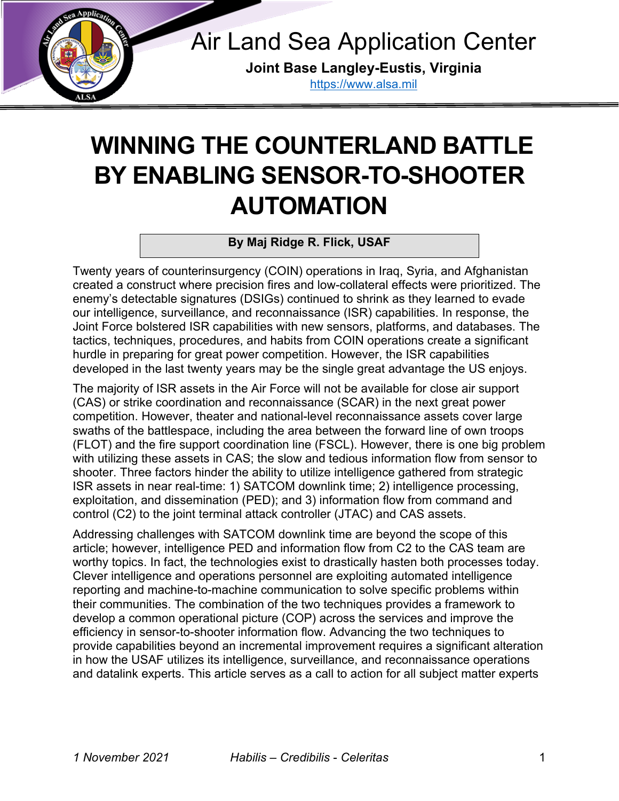

Air Land Sea Application Center

**Joint Base Langley-Eustis, Virginia** [https://www.alsa.mil](https://www.alsa.mil/)

# **WINNING THE COUNTERLAND BATTLE BY ENABLING SENSOR-TO-SHOOTER AUTOMATION** [https://www.alsa.mil](https://www.alsa.mil/)

**By Maj Ridge R. Flick, USAF**

Twenty years of counterinsurgency (COIN) operations in Iraq, Syria, and Afghanistan created a construct where precision fires and low-collateral effects were prioritized. The enemy's detectable signatures (DSIGs) continued to shrink as they learned to evade our intelligence, surveillance, and reconnaissance (ISR) capabilities. In response, the Joint Force bolstered ISR capabilities with new sensors, platforms, and databases. The tactics, techniques, procedures, and habits from COIN operations create a significant hurdle in preparing for great power competition. However, the ISR capabilities developed in the last twenty years may be the single great advantage the US enjoys.

The majority of ISR assets in the Air Force will not be available for close air support (CAS) or strike coordination and reconnaissance (SCAR) in the next great power competition. However, theater and national-level reconnaissance assets cover large swaths of the battlespace, including the area between the forward line of own troops (FLOT) and the fire support coordination line (FSCL). However, there is one big problem with utilizing these assets in CAS; the slow and tedious information flow from sensor to shooter. Three factors hinder the ability to utilize intelligence gathered from strategic ISR assets in near real-time: 1) SATCOM downlink time; 2) intelligence processing, exploitation, and dissemination (PED); and 3) information flow from command and control (C2) to the joint terminal attack controller (JTAC) and CAS assets.

Addressing challenges with SATCOM downlink time are beyond the scope of this article; however, intelligence PED and information flow from C2 to the CAS team are worthy topics. In fact, the technologies exist to drastically hasten both processes today. Clever intelligence and operations personnel are exploiting automated intelligence reporting and machine-to-machine communication to solve specific problems within their communities. The combination of the two techniques provides a framework to develop a common operational picture (COP) across the services and improve the efficiency in sensor-to-shooter information flow. Advancing the two techniques to provide capabilities beyond an incremental improvement requires a significant alteration in how the USAF utilizes its intelligence, surveillance, and reconnaissance operations and datalink experts. This article serves as a call to action for all subject matter experts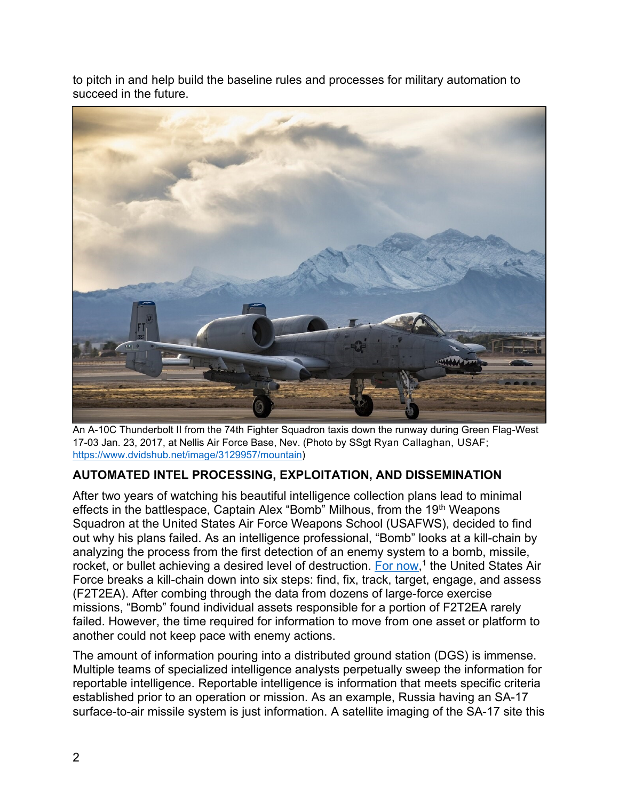to pitch in and help build the baseline rules and processes for military automation to succeed in the future.



An A-10C Thunderbolt II from the 74th Fighter Squadron taxis down the runway during Green Flag-West 17-03 Jan. 23, 2017, at Nellis Air Force Base, Nev. (Photo by SSgt Ryan Callaghan, USAF; [https://www.dvidshub.net/image/3129957/mountain\)](https://www.dvidshub.net/image/3129957/mountain)

## **AUTOMATED INTEL PROCESSING, EXPLOITATION, AND DISSEMINATION**

After two years of watching his beautiful intelligence collection plans lead to minimal effects in the battlespace, Captain Alex "Bomb" Milhous, from the 19<sup>th</sup> Weapons Squadron at the United States Air Force Weapons School (USAFWS), decided to find out why his plans failed. As an intelligence professional, "Bomb" looks at a kill-chain by analyzing the process from the first detection of an enemy system to a bomb, missile, rocket, or bullet achieving a desired level of destruction. [For now,](https://warontherocks.com/2017/05/its-about-time-the-pressing-need-to-evolve-the-kill-chain/)<sup>1</sup> the United States Air Force breaks a kill-chain down into six steps: find, fix, track, target, engage, and assess (F2T2EA). After combing through the data from dozens of large-force exercise missions, "Bomb" found individual assets responsible for a portion of F2T2EA rarely failed. However, the time required for information to move from one asset or platform to another could not keep pace with enemy actions.

The amount of information pouring into a distributed ground station (DGS) is immense. Multiple teams of specialized intelligence analysts perpetually sweep the information for reportable intelligence. Reportable intelligence is information that meets specific criteria established prior to an operation or mission. As an example, Russia having an SA-17 surface-to-air missile system is just information. A satellite imaging of the SA-17 site this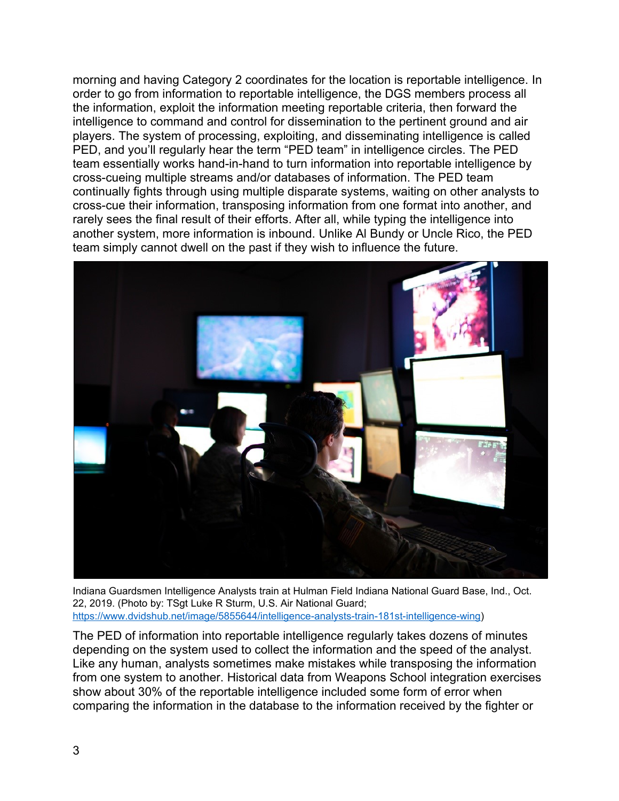morning and having Category 2 coordinates for the location is reportable intelligence. In order to go from information to reportable intelligence, the DGS members process all the information, exploit the information meeting reportable criteria, then forward the intelligence to command and control for dissemination to the pertinent ground and air players. The system of processing, exploiting, and disseminating intelligence is called PED, and you'll regularly hear the term "PED team" in intelligence circles. The PED team essentially works hand-in-hand to turn information into reportable intelligence by cross-cueing multiple streams and/or databases of information. The PED team continually fights through using multiple disparate systems, waiting on other analysts to cross-cue their information, transposing information from one format into another, and rarely sees the final result of their efforts. After all, while typing the intelligence into another system, more information is inbound. Unlike Al Bundy or Uncle Rico, the PED team simply cannot dwell on the past if they wish to influence the future.



Indiana Guardsmen Intelligence Analysts train at Hulman Field Indiana National Guard Base, Ind., Oct. 22, 2019. (Photo by: TSgt Luke R Sturm, U.S. Air National Guard; [https://www.dvidshub.net/image/5855644/intelligence-analysts-train-181st-intelligence-wing\)](https://www.dvidshub.net/image/5855644/intelligence-analysts-train-181st-intelligence-wing)

The PED of information into reportable intelligence regularly takes dozens of minutes depending on the system used to collect the information and the speed of the analyst. Like any human, analysts sometimes make mistakes while transposing the information from one system to another. Historical data from Weapons School integration exercises show about 30% of the reportable intelligence included some form of error when comparing the information in the database to the information received by the fighter or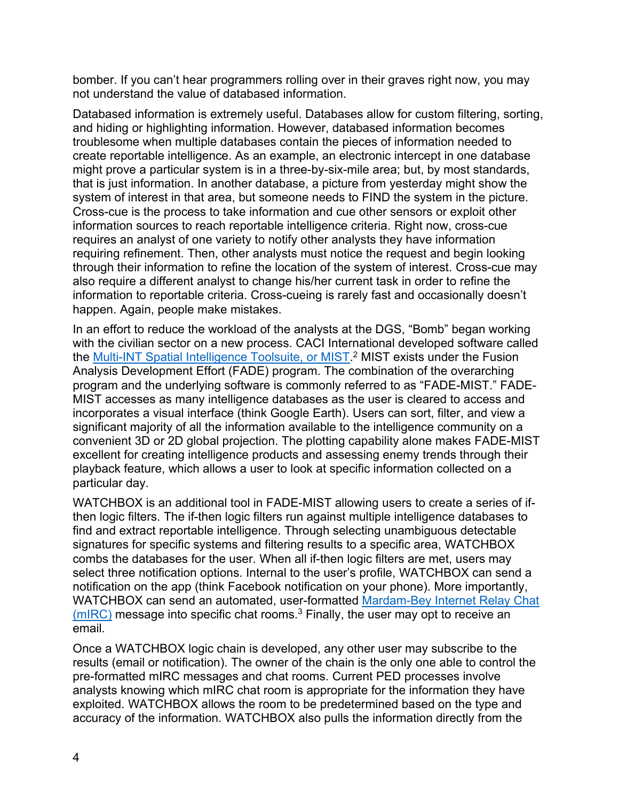bomber. If you can't hear programmers rolling over in their graves right now, you may not understand the value of databased information.

Databased information is extremely useful. Databases allow for custom filtering, sorting, and hiding or highlighting information. However, databased information becomes troublesome when multiple databases contain the pieces of information needed to create reportable intelligence. As an example, an electronic intercept in one database might prove a particular system is in a three-by-six-mile area; but, by most standards, that is just information. In another database, a picture from yesterday might show the system of interest in that area, but someone needs to FIND the system in the picture. Cross-cue is the process to take information and cue other sensors or exploit other information sources to reach reportable intelligence criteria. Right now, cross-cue requires an analyst of one variety to notify other analysts they have information requiring refinement. Then, other analysts must notice the request and begin looking through their information to refine the location of the system of interest. Cross-cue may also require a different analyst to change his/her current task in order to refine the information to reportable criteria. Cross-cueing is rarely fast and occasionally doesn't happen. Again, people make mistakes.

In an effort to reduce the workload of the analysts at the DGS, "Bomb" began working with the civilian sector on a new process. CACI International developed software called the <u>Multi-INT Spatial Intelligence Toolsuite, or MIST</u>.<sup>2</sup> MIST exists under the Fusion Analysis Development Effort (FADE) program. The combination of the overarching program and the underlying software is commonly referred to as "FADE-MIST." FADE-MIST accesses as many intelligence databases as the user is cleared to access and incorporates a visual interface (think Google Earth). Users can sort, filter, and view a significant majority of all the information available to the intelligence community on a convenient 3D or 2D global projection. The plotting capability alone makes FADE-MIST excellent for creating intelligence products and assessing enemy trends through their playback feature, which allows a user to look at specific information collected on a particular day.

WATCHBOX is an additional tool in FADE-MIST allowing users to create a series of ifthen logic filters. The if-then logic filters run against multiple intelligence databases to find and extract reportable intelligence. Through selecting unambiguous detectable signatures for specific systems and filtering results to a specific area, WATCHBOX combs the databases for the user. When all if-then logic filters are met, users may select three notification options. Internal to the user's profile, WATCHBOX can send a notification on the app (think Facebook notification on your phone). More importantly, WATCHBOX can send an automated, user-formatted [Mardam-Bey Internet Relay Chat](https://en.wikipedia.org/wiki/MIRC#History)  [\(mIRC\)](https://en.wikipedia.org/wiki/MIRC#History) message into specific chat rooms.<sup>3</sup> Finally, the user may opt to receive an email.

Once a WATCHBOX logic chain is developed, any other user may subscribe to the results (email or notification). The owner of the chain is the only one able to control the pre-formatted mIRC messages and chat rooms. Current PED processes involve analysts knowing which mIRC chat room is appropriate for the information they have exploited. WATCHBOX allows the room to be predetermined based on the type and accuracy of the information. WATCHBOX also pulls the information directly from the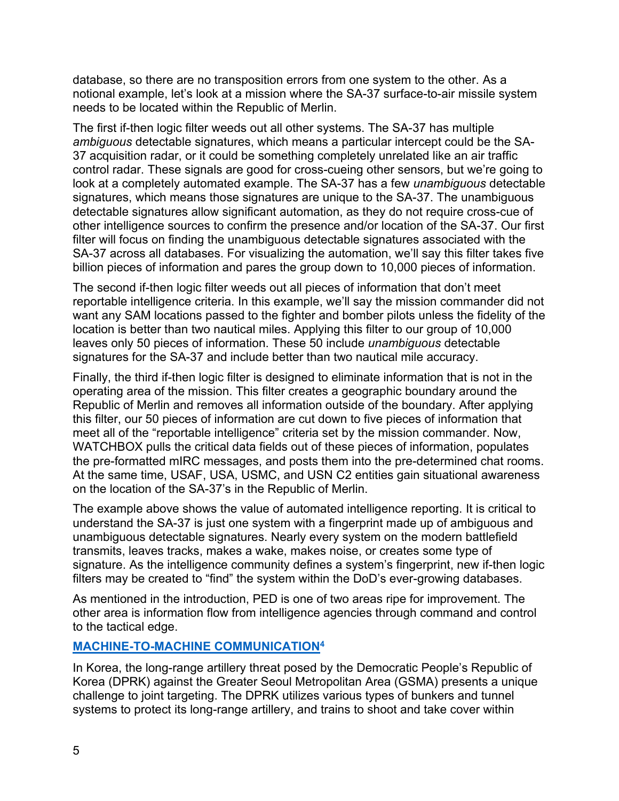database, so there are no transposition errors from one system to the other. As a notional example, let's look at a mission where the SA-37 surface-to-air missile system needs to be located within the Republic of Merlin.

The first if-then logic filter weeds out all other systems. The SA-37 has multiple *ambiguous* detectable signatures, which means a particular intercept could be the SA-37 acquisition radar, or it could be something completely unrelated like an air traffic control radar. These signals are good for cross-cueing other sensors, but we're going to look at a completely automated example. The SA-37 has a few *unambiguous* detectable signatures, which means those signatures are unique to the SA-37. The unambiguous detectable signatures allow significant automation, as they do not require cross-cue of other intelligence sources to confirm the presence and/or location of the SA-37. Our first filter will focus on finding the unambiguous detectable signatures associated with the SA-37 across all databases. For visualizing the automation, we'll say this filter takes five billion pieces of information and pares the group down to 10,000 pieces of information.

The second if-then logic filter weeds out all pieces of information that don't meet reportable intelligence criteria. In this example, we'll say the mission commander did not want any SAM locations passed to the fighter and bomber pilots unless the fidelity of the location is better than two nautical miles. Applying this filter to our group of 10,000 leaves only 50 pieces of information. These 50 include *unambiguous* detectable signatures for the SA-37 and include better than two nautical mile accuracy.

Finally, the third if-then logic filter is designed to eliminate information that is not in the operating area of the mission. This filter creates a geographic boundary around the Republic of Merlin and removes all information outside of the boundary. After applying this filter, our 50 pieces of information are cut down to five pieces of information that meet all of the "reportable intelligence" criteria set by the mission commander. Now, WATCHBOX pulls the critical data fields out of these pieces of information, populates the pre-formatted mIRC messages, and posts them into the pre-determined chat rooms. At the same time, USAF, USA, USMC, and USN C2 entities gain situational awareness on the location of the SA-37's in the Republic of Merlin.

The example above shows the value of automated intelligence reporting. It is critical to understand the SA-37 is just one system with a fingerprint made up of ambiguous and unambiguous detectable signatures. Nearly every system on the modern battlefield transmits, leaves tracks, makes a wake, makes noise, or creates some type of signature. As the intelligence community defines a system's fingerprint, new if-then logic filters may be created to "find" the system within the DoD's ever-growing databases.

As mentioned in the introduction, PED is one of two areas ripe for improvement. The other area is information flow from intelligence agencies through command and control to the tactical edge.

### **[MACHINE-TO-MACHINE COMMUNICATION](https://internetofthingsagenda.techtarget.com/definition/machine-to-machine-M2M)<sup>4</sup>**

In Korea, the long-range artillery threat posed by the Democratic People's Republic of Korea (DPRK) against the Greater Seoul Metropolitan Area (GSMA) presents a unique challenge to joint targeting. The DPRK utilizes various types of bunkers and tunnel systems to protect its long-range artillery, and trains to shoot and take cover within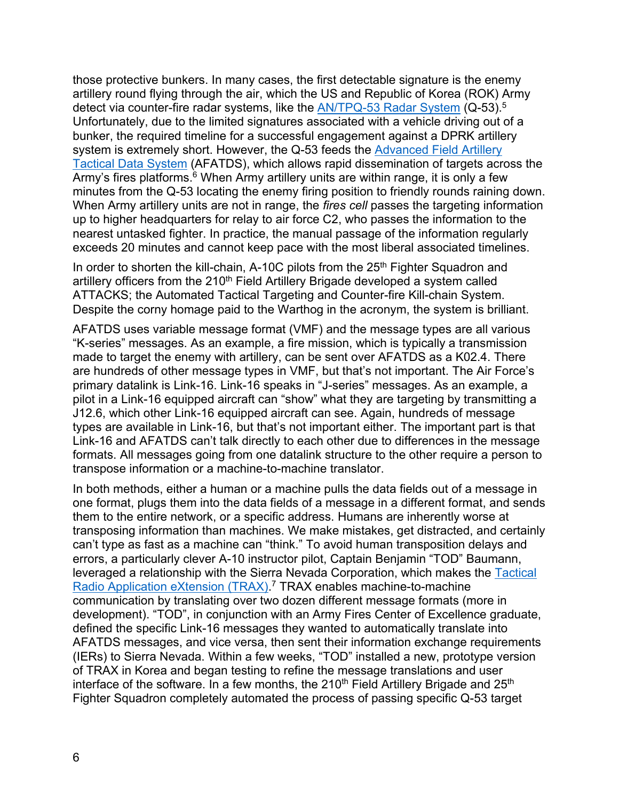those protective bunkers. In many cases, the first detectable signature is the enemy artillery round flying through the air, which the US and Republic of Korea (ROK) Army detect via counter-fire radar systems, like the [AN/TPQ-53 Radar System](https://www.lockheedmartin.com/en-us/products/tpq-53.html) (Q-53).<sup>5</sup> Unfortunately, due to the limited signatures associated with a vehicle driving out of a bunker, the required timeline for a successful engagement against a DPRK artillery system is extremely short. However, the Q-53 feeds the [Advanced Field Artillery](https://asc.army.mil/web/portfolio-item/advanced-field-artillery-tactical-data-system-afatds/)  [Tactical Data System](https://asc.army.mil/web/portfolio-item/advanced-field-artillery-tactical-data-system-afatds/) (AFATDS), which allows rapid dissemination of targets across the Army's fires platforms.<sup>6</sup> When Army artillery units are within range, it is only a few minutes from the Q-53 locating the enemy firing position to friendly rounds raining down. When Army artillery units are not in range, the *fires cell* passes the targeting information up to higher headquarters for relay to air force C2, who passes the information to the nearest untasked fighter. In practice, the manual passage of the information regularly exceeds 20 minutes and cannot keep pace with the most liberal associated timelines.

In order to shorten the kill-chain, A-10C pilots from the 25<sup>th</sup> Fighter Squadron and artillery officers from the 210<sup>th</sup> Field Artillery Brigade developed a system called ATTACKS; the Automated Tactical Targeting and Counter-fire Kill-chain System. Despite the corny homage paid to the Warthog in the acronym, the system is brilliant.

AFATDS uses variable message format (VMF) and the message types are all various "K-series" messages. As an example, a fire mission, which is typically a transmission made to target the enemy with artillery, can be sent over AFATDS as a K02.4. There are hundreds of other message types in VMF, but that's not important. The Air Force's primary datalink is Link-16. Link-16 speaks in "J-series" messages. As an example, a pilot in a Link-16 equipped aircraft can "show" what they are targeting by transmitting a J12.6, which other Link-16 equipped aircraft can see. Again, hundreds of message types are available in Link-16, but that's not important either. The important part is that Link-16 and AFATDS can't talk directly to each other due to differences in the message formats. All messages going from one datalink structure to the other require a person to transpose information or a machine-to-machine translator.

In both methods, either a human or a machine pulls the data fields out of a message in one format, plugs them into the data fields of a message in a different format, and sends them to the entire network, or a specific address. Humans are inherently worse at transposing information than machines. We make mistakes, get distracted, and certainly can't type as fast as a machine can "think." To avoid human transposition delays and errors, a particularly clever A-10 instructor pilot, Captain Benjamin "TOD" Baumann, leveraged a relationship with the Sierra Nevada Corporation, which makes the [Tactical](https://www.realcleardefense.com/articles/2020/03/20/socom_has_solved_the_militarys_tower_of_babel_problem_115132.html)  Radio Application eXtension (TRAX)<sup>7</sup> TRAX enables machine-to-machine communication by translating over two dozen different message formats (more in development). "TOD", in conjunction with an Army Fires Center of Excellence graduate, defined the specific Link-16 messages they wanted to automatically translate into AFATDS messages, and vice versa, then sent their information exchange requirements (IERs) to Sierra Nevada. Within a few weeks, "TOD" installed a new, prototype version of TRAX in Korea and began testing to refine the message translations and user interface of the software. In a few months, the  $210<sup>th</sup>$  Field Artillery Brigade and  $25<sup>th</sup>$ Fighter Squadron completely automated the process of passing specific Q-53 target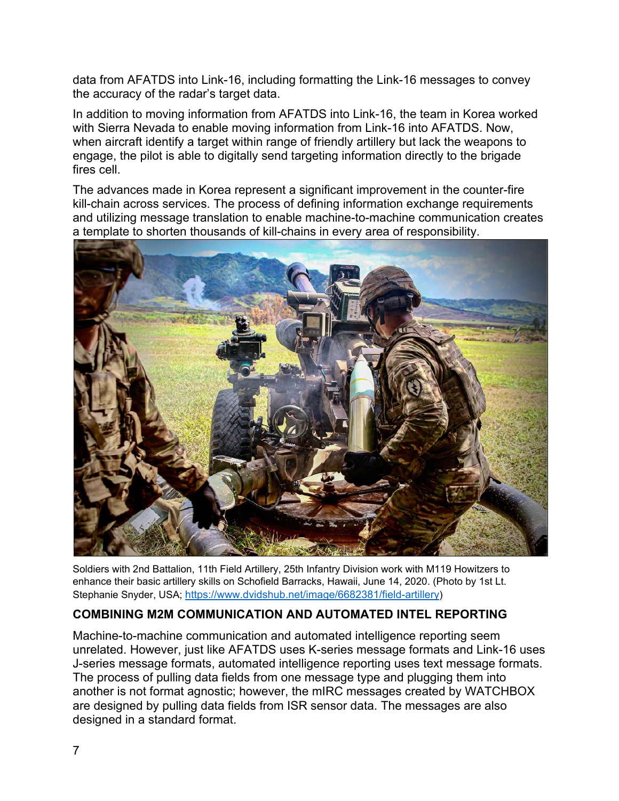data from AFATDS into Link-16, including formatting the Link-16 messages to convey the accuracy of the radar's target data.

In addition to moving information from AFATDS into Link-16, the team in Korea worked with Sierra Nevada to enable moving information from Link-16 into AFATDS. Now, when aircraft identify a target within range of friendly artillery but lack the weapons to engage, the pilot is able to digitally send targeting information directly to the brigade fires cell

The advances made in Korea represent a significant improvement in the counter-fire kill-chain across services. The process of defining information exchange requirements and utilizing message translation to enable machine-to-machine communication creates a template to shorten thousands of kill-chains in every area of responsibility.



Soldiers with 2nd Battalion, 11th Field Artillery, 25th Infantry Division work with M119 Howitzers to enhance their basic artillery skills on Schofield Barracks, Hawaii, June 14, 2020. (Photo by 1st Lt. Stephanie Snyder, USA; <https://www.dvidshub.net/image/6682381/field-artillery>)

### **COMBINING M2M COMMUNICATION AND AUTOMATED INTEL REPORTING**

Machine-to-machine communication and automated intelligence reporting seem unrelated. However, just like AFATDS uses K-series message formats and Link-16 uses J-series message formats, automated intelligence reporting uses text message formats. The process of pulling data fields from one message type and plugging them into another is not format agnostic; however, the mIRC messages created by WATCHBOX are designed by pulling data fields from ISR sensor data. The messages are also designed in a standard format.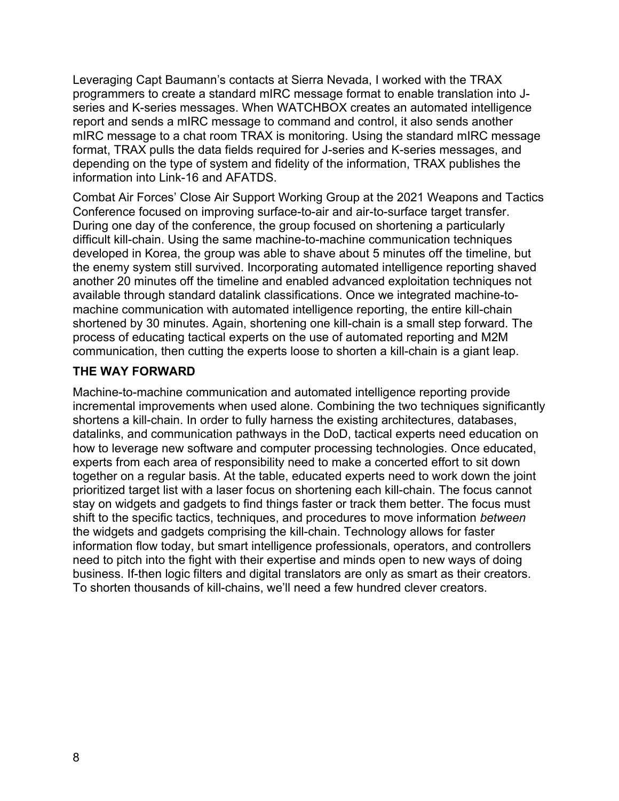Leveraging Capt Baumann's contacts at Sierra Nevada, I worked with the TRAX programmers to create a standard mIRC message format to enable translation into Jseries and K-series messages. When WATCHBOX creates an automated intelligence report and sends a mIRC message to command and control, it also sends another mIRC message to a chat room TRAX is monitoring. Using the standard mIRC message format, TRAX pulls the data fields required for J-series and K-series messages, and depending on the type of system and fidelity of the information, TRAX publishes the information into Link-16 and AFATDS.

Combat Air Forces' Close Air Support Working Group at the 2021 Weapons and Tactics Conference focused on improving surface-to-air and air-to-surface target transfer. During one day of the conference, the group focused on shortening a particularly difficult kill-chain. Using the same machine-to-machine communication techniques developed in Korea, the group was able to shave about 5 minutes off the timeline, but the enemy system still survived. Incorporating automated intelligence reporting shaved another 20 minutes off the timeline and enabled advanced exploitation techniques not available through standard datalink classifications. Once we integrated machine-tomachine communication with automated intelligence reporting, the entire kill-chain shortened by 30 minutes. Again, shortening one kill-chain is a small step forward. The process of educating tactical experts on the use of automated reporting and M2M communication, then cutting the experts loose to shorten a kill-chain is a giant leap.

### **THE WAY FORWARD**

Machine-to-machine communication and automated intelligence reporting provide incremental improvements when used alone. Combining the two techniques significantly shortens a kill-chain. In order to fully harness the existing architectures, databases, datalinks, and communication pathways in the DoD, tactical experts need education on how to leverage new software and computer processing technologies. Once educated, experts from each area of responsibility need to make a concerted effort to sit down together on a regular basis. At the table, educated experts need to work down the joint prioritized target list with a laser focus on shortening each kill-chain. The focus cannot stay on widgets and gadgets to find things faster or track them better. The focus must shift to the specific tactics, techniques, and procedures to move information *between* the widgets and gadgets comprising the kill-chain. Technology allows for faster information flow today, but smart intelligence professionals, operators, and controllers need to pitch into the fight with their expertise and minds open to new ways of doing business. If-then logic filters and digital translators are only as smart as their creators. To shorten thousands of kill-chains, we'll need a few hundred clever creators.